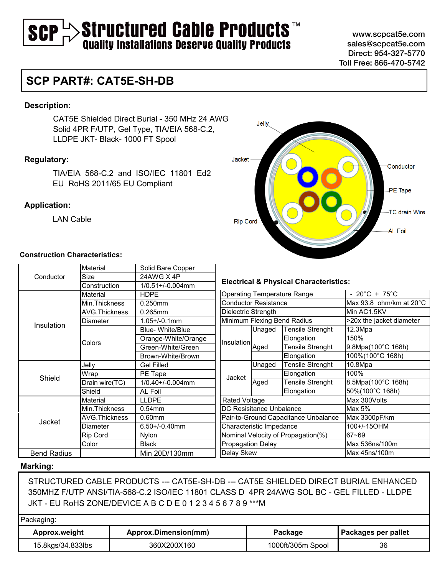# $\rightarrow$  Structured Cable Products  $\mathbb{R}^m$ <br>Quality Installations Deserve Quality Products SCP

www.scpcat5e.com sales@scpcat5e.com Direct: 954-327-5770 Toll Free: 866-470-5742

### **SCP PART#: CAT5E-SH-DB**

#### **Description:**

CAT5E Shielded Direct Burial - 350 MHz 24 AWG Solid 4PR F/UTP, Gel Type, TIA/EIA 568-C.2, LLDPE JKT- Black- 1000 FT Spool

### **Regulatory:**

TIA/EIA 568-C.2 and ISO/IEC 11801 Ed2 EU RoHS 2011/65 EU Compliant

#### **Application:**

LAN Cable

### **Construction Characteristics:**

| Material                    |                        |                   |  |  |
|-----------------------------|------------------------|-------------------|--|--|
| Size                        | 24AWG X 4P             |                   |  |  |
| Construction                | $1/0.51 + (-0.004$ mm  | <b>Electric</b>   |  |  |
| Material                    | <b>HDPE</b>            | Operatin          |  |  |
| Min.Thickness               | 0.250mm                | Conduct           |  |  |
| <b>AVG.Thickness</b>        | 0.265mm                | Dielectrio        |  |  |
| Diameter<br>$1.05 + (-0.1)$ |                        | Minimum           |  |  |
|                             | <b>Blue-White/Blue</b> |                   |  |  |
|                             | Orange-White/Orange    | Insulatio         |  |  |
|                             | Green-White/Green      |                   |  |  |
|                             | Brown-White/Brown      |                   |  |  |
| Jelly                       | <b>Gel Filled</b>      |                   |  |  |
| Wrap                        | PE Tape                | Jacket            |  |  |
| Drain wire(TC)              | 1/0.40+/-0.004mm       |                   |  |  |
| Shield                      | AL Foil                |                   |  |  |
| Material                    | <b>LLDPE</b>           | Rated V           |  |  |
| Min.Thickness               | $0.54$ mm              | DC Resis          |  |  |
| AVG.Thickness               | $0.60$ mm              | Pair-to-G         |  |  |
| Diameter                    | $6.50 + / -0.40$ mm    | Characte          |  |  |
| <b>Rip Cord</b>             | Nylon                  | Nominal           |  |  |
| Color                       | <b>Black</b>           | Propaga           |  |  |
|                             | Min 20D/130mm          | Delay Sk          |  |  |
|                             | Colors                 | Solid Bare Copper |  |  |

#### **Marking:**

STRUCTURED CABLE PRODUCTS --- CAT5E-SH-DB --- CAT5E SHIELDED DIRECT BURIAL ENHANCED 350MHZ F/UTP ANSI/TIA-568-C.2 ISO/IEC 11801 CLASS D 4PR 24AWG SOL BC - GEL FILLED - LLDPE JKT - EU RoHS ZONE/DEVICE A B C D E 0 1 2 3 4 5 6 7 8 9 \*\*\*M

#### Packaging:

| Approx.weight     | Approx.Dimension(mm) |                   | Packages per pallet |  |
|-------------------|----------------------|-------------------|---------------------|--|
| 15.8kgs/34.833lbs | 360X200X160          | 1000ft/305m Spool | 36                  |  |



#### **Eal & Physical Characteristics:**

|                                      |                             | <b>Operating Temperature Range</b> | - 20°C + 75°C            |  |  |  |  |
|--------------------------------------|-----------------------------|------------------------------------|--------------------------|--|--|--|--|
|                                      | <b>Conductor Resistance</b> |                                    | Max 93.8 ohm/km at 20°C  |  |  |  |  |
| Dielectric Strength                  |                             |                                    | Min AC1.5KV              |  |  |  |  |
|                                      |                             | Minimum Flexing Bend Radius        | >20x the jacket diameter |  |  |  |  |
| Insulation<br>Aged                   | Unaged                      | <b>Tensile Strenght</b>            | 12.3Mpa                  |  |  |  |  |
|                                      |                             | Elongation                         | 150%                     |  |  |  |  |
|                                      |                             | Tensile Strenght                   | 9.8Mpa(100°C 168h)       |  |  |  |  |
|                                      |                             | Elongation                         | 100%(100°C 168h)         |  |  |  |  |
| Jacket                               | Unaged                      | <b>Tensile Strenght</b>            | 10.8Mpa                  |  |  |  |  |
|                                      |                             | Elongation                         | 100%                     |  |  |  |  |
|                                      | Aged                        | Tensile Strenght                   | 8.5Mpa(100°C 168h)       |  |  |  |  |
|                                      |                             | Elongation                         | 50%(100°C 168h)          |  |  |  |  |
| Rated Voltage                        |                             |                                    | Max 300Volts             |  |  |  |  |
| DC Resisitance Unbalance             |                             |                                    | Max $5%$                 |  |  |  |  |
| Pair-to-Ground Capacitance Unbalance |                             |                                    | Max 3300pF/km            |  |  |  |  |
| Characteristic Impedance             |                             |                                    | 100+/-15OHM              |  |  |  |  |
| Nominal Velocity of Propagation(%)   |                             |                                    | 67~69                    |  |  |  |  |
| <b>Propagation Delay</b>             |                             |                                    | Max 536ns/100m           |  |  |  |  |
| Delay Skew                           |                             |                                    | Max 45ns/100m            |  |  |  |  |
|                                      |                             |                                    |                          |  |  |  |  |